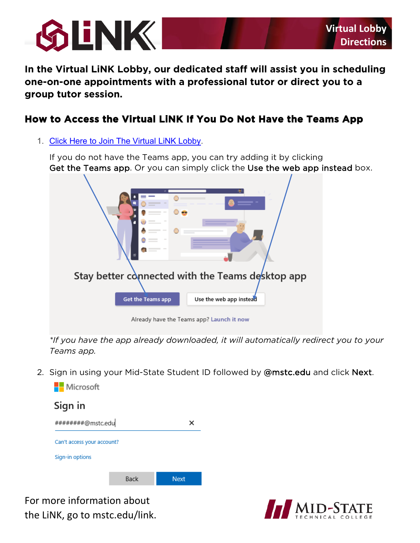

**In the Virtual LiNK Lobby, our dedicated staff will assist you in scheduling one-on-one appointments with a professional tutor or direct you to a group tutor session.** 

# **How to Access the Virtual LiNK If You Do Not Have the Teams App**

1. [Click Here to Join The Virtual LiNK Lobby.](https://teams.microsoft.com/l/channel/19%3a6becaaeac48a42de89e414c6815ec6f5%40thread.tacv2/General?groupId=d009c403-41eb-4574-a990-2243076b9dfd&tenantId=2d0c965b-8fc1-4bc0-b627-a39e7823c253)

Get the Teams app. Or you can simply click the Use the web app instead box. If you do not have the Teams app, you can try adding it by clicking



*\*If you have the app already downloaded, it will automatically redirect you to your Teams app.* 

2. Sign in using your Mid-State Student ID followed by @[mstc.edu](https://mstc.edu) and click Next.



 For more information about  the LiNK, go to [mstc.edu/link](https://mstc.edu/link).

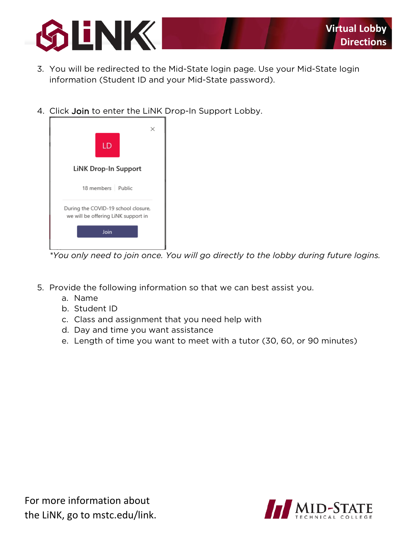

- 3. You will be redirected to the Mid-State login page. Use your Mid-State login information (Student ID and your Mid-State password).
- 4. Click Join to enter the LiNK Drop-In Support Lobby.

| LD                                                                         |
|----------------------------------------------------------------------------|
| <b>LiNK Drop-In Support</b>                                                |
| 18 members Public                                                          |
| During the COVID-19 school closure,<br>we will be offering LiNK support in |
| Join                                                                       |
|                                                                            |

*\*You only need to join once. You will go directly to the lobby during future logins.* 

- 5. Provide the following information so that we can best assist you.
	- a. Name
	- b. Student ID
	- c. Class and assignment that you need help with
	- d. Day and time you want assistance
	- e. Length of time you want to meet with a tutor (30, 60, or 90 minutes)

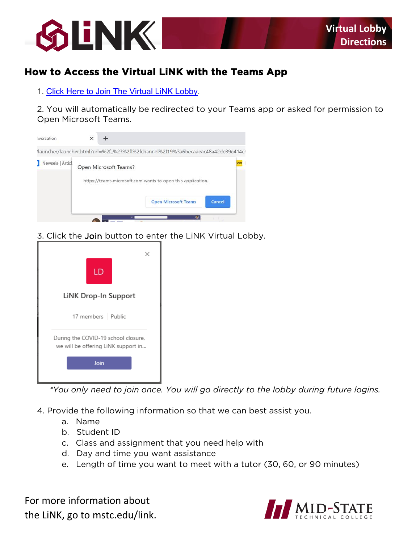

# How to Access the Virtual LINK with the Teams App

1. Click Here to Join The Virtual LiNK Lobby.

2. You will automatically be redirected to your Teams app or asked for permission to Open Microsoft Teams.



3. Click the Join button to enter the LiNK Virtual Lobby.



\*You only need to join once. You will go directly to the lobby during future logins.

4. Provide the following information so that we can best assist you.

- a. Name
- b. Student ID
- c. Class and assignment that you need help with
- d. Day and time you want assistance
- e. Length of time you want to meet with a tutor (30, 60, or 90 minutes)

For more information about the LiNK, go to mstc.edu/link.

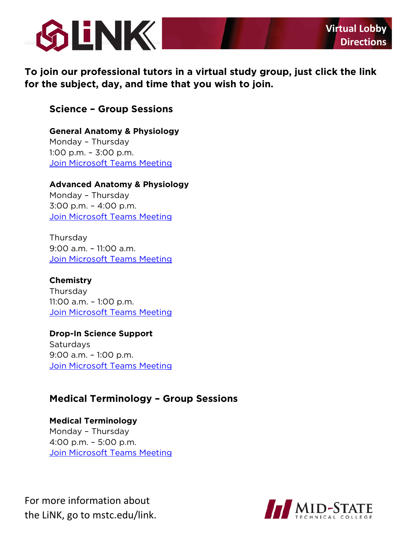

 **To join our professional tutors in a virtual study group, just click the link for the subject, day, and time that you wish to join.** 

## **Science – Group Sessions**

 Monday – Thursday 1:00 p.m. – 3:00 p.m. [Join Microsoft Teams Meeting](https://teams.microsoft.com/l/meetup-join/19%3ameeting_MDgyZTU1M2UtZmRkYi00OWJmLTg1NzctZTUyYjM0MzA3ZTIw%40thread.v2/0?context=%7b%22Tid%22%3a%222d0c965b-8fc1-4bc0-b627-a39e7823c253%22%2c%22Oid%22%3a%22e3d80979-24fe-4f9d-8ade-87630bf2ef9a%22%7d) **General Anatomy & Physiology** 

#### **Advanced Anatomy & Physiology**

 Monday – Thursday 3:00 p.m. – 4:00 p.m.

<u>Join Microsoft Teams Meeting</u><br>Thursday 9:00 a.m. – 11:00 a.m. [Join Microsoft Teams Meeting](https://teams.microsoft.com/l/meetup-join/19%3ameeting_Y2U5OTEzNzQtMDYxMy00ZjY4LWE2OWQtZGQ0NDZhZDM0ZWZk%40thread.v2/0?context=%7b%22Tid%22%3a%222d0c965b-8fc1-4bc0-b627-a39e7823c253%22%2c%22Oid%22%3a%22e3d80979-24fe-4f9d-8ade-87630bf2ef9a%22%7d) 

 11:00 a.m. – 1:00 p.m. [Join Microsoft Teams Meeting](https://teams.microsoft.com/l/meetup-join/19%3ameeting_M2RiOTliYjUtZjFlMi00MjQyLWE1ZmEtOTMzNDc3NGYzYzY1%40thread.v2/0?context=%7b%22Tid%22%3a%222d0c965b-8fc1-4bc0-b627-a39e7823c253%22%2c%22Oid%22%3a%22e3d80979-24fe-4f9d-8ade-87630bf2ef9a%22%7d) **Chemistry**  Thursday

 9:00 a.m. – 1:00 p.m. **Join Microsoft Teams Meeting Drop-In Science Support**  Saturdays

# **Medical Terminology – Group Sessions**

 Monday – Thursday [Join Microsoft Teams Meeting](https://teams.microsoft.com/l/meetup-join/19%3ameeting_YWViMDQ5OTMtYjUwMi00YTBkLTg0NTUtYjM2NDJiMzc0Nzc1%40thread.v2/0?context=%7b%22Tid%22%3a%222d0c965b-8fc1-4bc0-b627-a39e7823c253%22%2c%22Oid%22%3a%22e3d80979-24fe-4f9d-8ade-87630bf2ef9a%22%7d) **Medical Terminology**  4:00 p.m. – 5:00 p.m.

 For more information about  the LiNK, go to [mstc.edu/link](https://mstc.edu/link).

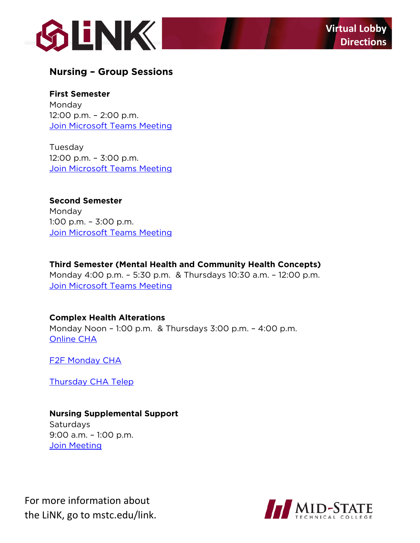

## **Nursing – Group Sessions**

 **First Semester** 

 12:00 p.m. – 2:00 p.m. Monday

<u>Join Microsoft Teams Meeting</u><br>Tuesday 12:00 p.m. – 3:00 p.m. [Join Microsoft Teams Meeting](https://teams.microsoft.com/l/meetup-join/19%3ameeting_ZTJjYTBmMGUtZTA3Zi00ZGQ5LWJiYTUtYjI4ZDhiZTNmMDBk%40thread.v2/0?context=%7b%22Tid%22%3a%222d0c965b-8fc1-4bc0-b627-a39e7823c253%22%2c%22Oid%22%3a%22e3d80979-24fe-4f9d-8ade-87630bf2ef9a%22%7d) 

#### **Second Semester**  Monday

 1:00 p.m. – 3:00 p.m. **Join Microsoft Teams Meeting** 

### **Third Semester (Mental Health and Community Health Concepts)**

 [Join Microsoft Teams Meeting](https://teams.microsoft.com/l/team/19%3a14e4afdf1caf499492817e3118c1d5a9%40thread.tacv2/conversations?groupId=441ccdc3-5064-47a0-a4ad-7da020fa2e72&tenantId=2d0c965b-8fc1-4bc0-b627-a39e7823c253) Monday 4:00 p.m. – 5:30 p.m. & Thursdays 10:30 a.m. – 12:00 p.m.

#### **Complex Health Alterations**

 Monday Noon – 1:00 p.m. & Thursdays 3:00 p.m. – 4:00 p.m. [Online CHA](https://teams.microsoft.com/l/team/19%3a2129e9745cb844908c2ffd6255f6ee7c%40thread.tacv2/conversations?groupId=8281dd23-0d72-451e-9632-a60576b3f682&tenantId=2d0c965b-8fc1-4bc0-b627-a39e7823c253) 

[F2F Monday CHA](https://teams.microsoft.com/l/team/19%3a12c343470bc74acdb52d668ac4761177%40thread.tacv2/conversations?groupId=fc07c832-bf7a-485d-8b21-8e3a274c478c&tenantId=2d0c965b-8fc1-4bc0-b627-a39e7823c253) 

[Thursday CHA Telep](https://teams.microsoft.com/l/team/19%3a545a1df6df0040479dfd1d99c3b87e5c%40thread.tacv2/conversations?groupId=b00e3f77-7737-4066-bb47-2790b48783dd&tenantId=2d0c965b-8fc1-4bc0-b627-a39e7823c253) 

## **Nursing Supplemental Support**

 9:00 a.m. – 1:00 p.m. Saturdays **Join Meeting** 

 For more information about  the LiNK, go to [mstc.edu/link](https://mstc.edu/link).